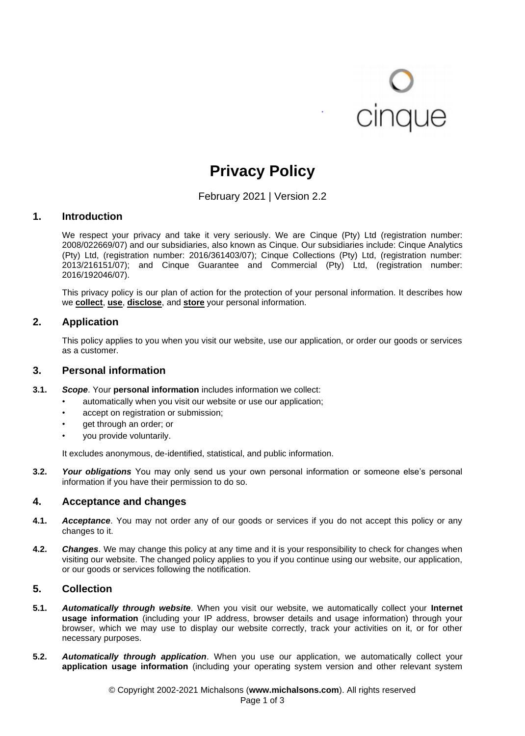# **O**<br>cinque

## **Privacy Policy**

February 2021 | Version 2.2

#### **1. Introduction**

We respect your privacy and take it very seriously. We are Cinque (Pty) Ltd (registration number: 2008/022669/07) and our subsidiaries, also known as Cinque. Our subsidiaries include: Cinque Analytics (Pty) Ltd, (registration number: 2016/361403/07); Cinque Collections (Pty) Ltd, (registration number: 2013/216151/07); and Cinque Guarantee and Commercial (Pty) Ltd, (registration number: 2016/192046/07).

This privacy policy is our plan of action for the protection of your personal information. It describes how we **[collect](#page-0-0)**, **[use](#page-1-0)**, **[disclose](#page-1-1)**, and **[store](#page-2-0)** your personal information.

#### **2. Application**

This policy applies to you when you visit our website, use our application, or order our goods or services as a customer.

#### **3. Personal information**

- **3.1.** *Scope*. Your **personal information** includes information we collect:
	- automatically when you visit our website or use our application;
	- accept on registration or submission;
	- get through an order; or
	- you provide voluntarily.

It excludes anonymous, de-identified, statistical, and public information.

**3.2.** *Your obligations* You may only send us your own personal information or someone else's personal information if you have their permission to do so.

#### **4. Acceptance and changes**

- **4.1.** *Acceptance*. You may not order any of our goods or services if you do not accept this policy or any changes to it.
- **4.2.** *Changes*. We may change this policy at any time and it is your responsibility to check for changes when visiting our website. The changed policy applies to you if you continue using our website, our application, or our goods or services following the notification.

#### <span id="page-0-0"></span>**5. Collection**

- **5.1.** *Automatically through website*. When you visit our website, we automatically collect your **Internet usage information** (including your IP address, browser details and usage information) through your browser, which we may use to display our website correctly, track your activities on it, or for other necessary purposes.
- **5.2.** *Automatically through application*. When you use our application, we automatically collect your **application usage information** (including your operating system version and other relevant system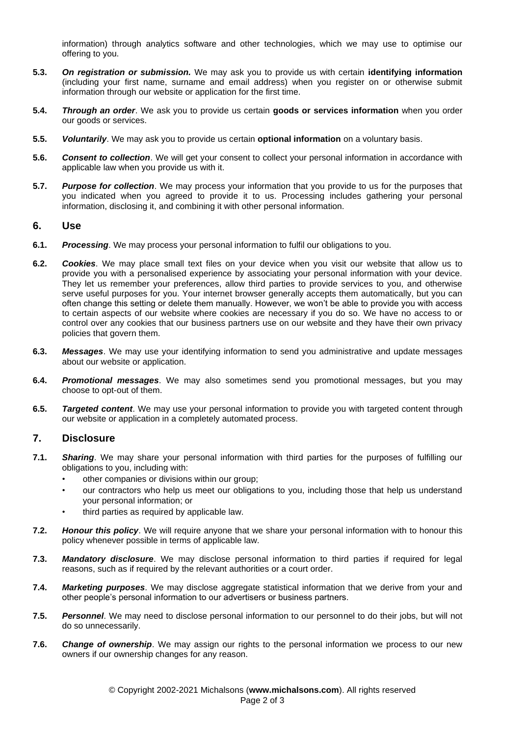information) through analytics software and other technologies, which we may use to optimise our offering to you.

- **5.3.** *On registration or submission.* We may ask you to provide us with certain **identifying information** (including your first name, surname and email address) when you register on or otherwise submit information through our website or application for the first time.
- **5.4.** *Through an order*. We ask you to provide us certain **goods or services information** when you order our goods or services.
- **5.5.** *Voluntarily*. We may ask you to provide us certain **optional information** on a voluntary basis.
- **5.6.** *Consent to collection*. We will get your consent to collect your personal information in accordance with applicable law when you provide us with it.
- **5.7.** *Purpose for collection*. We may process your information that you provide to us for the purposes that you indicated when you agreed to provide it to us. Processing includes gathering your personal information, disclosing it, and combining it with other personal information.

#### <span id="page-1-0"></span>**6. Use**

- **6.1.** *Processing*. We may process your personal information to fulfil our obligations to you.
- **6.2.** *Cookies*. We may place small text files on your device when you visit our website that allow us to provide you with a personalised experience by associating your personal information with your device. They let us remember your preferences, allow third parties to provide services to you, and otherwise serve useful purposes for you. Your internet browser generally accepts them automatically, but you can often change this setting or delete them manually. However, we won't be able to provide you with access to certain aspects of our website where cookies are necessary if you do so. We have no access to or control over any cookies that our business partners use on our website and they have their own privacy policies that govern them.
- **6.3.** *Messages*. We may use your identifying information to send you administrative and update messages about our website or application.
- **6.4.** *Promotional messages*. We may also sometimes send you promotional messages, but you may choose to opt-out of them.
- **6.5.** *Targeted content*. We may use your personal information to provide you with targeted content through our website or application in a completely automated process.

#### <span id="page-1-1"></span>**7. Disclosure**

- **7.1.** *Sharing*. We may share your personal information with third parties for the purposes of fulfilling our obligations to you, including with:
	- other companies or divisions within our group;
	- our contractors who help us meet our obligations to you, including those that help us understand your personal information; or
	- third parties as required by applicable law.
- **7.2.** *Honour this policy*. We will require anyone that we share your personal information with to honour this policy whenever possible in terms of applicable law.
- **7.3.** *Mandatory disclosure*. We may disclose personal information to third parties if required for legal reasons, such as if required by the relevant authorities or a court order.
- **7.4.** *Marketing purposes*. We may disclose aggregate statistical information that we derive from your and other people's personal information to our advertisers or business partners.
- **7.5.** *Personnel*. We may need to disclose personal information to our personnel to do their jobs, but will not do so unnecessarily.
- **7.6.** *Change of ownership*. We may assign our rights to the personal information we process to our new owners if our ownership changes for any reason.